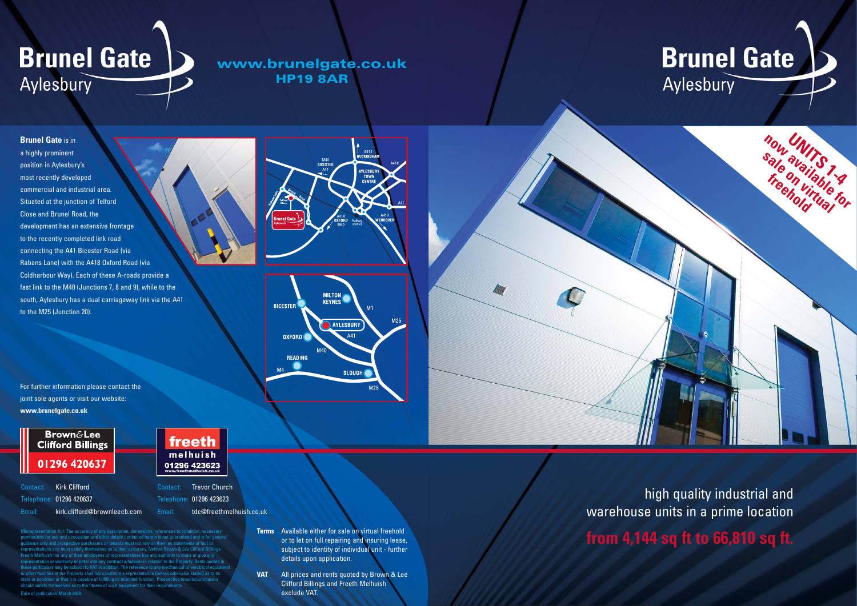#### **Brunel Gate** is in

a highly prominent position in Aylesbury's most recently developed commercial and industrial area. Situated at the junction of Telford Close and Brunel Road, the development has an extensive frontage to the recently completed link road connecting the A41 Bicester Road (via Rabans Lane) with the A418 Oxford Road (via Coldharbour Way). Each of these A-roads provide a fast link to the M40 (Junctions 7, 8 and 9), while to the south, Aylesbury has a dual carriageway link via the A41 to the M25 (Junction 20).

## **Brunel Gate** Aylesbury

**www.brunelgate.co.uk HP19 8AR**

Act: The accuracy of any de use and occupation and other details contained herein is not quarante pective purchasers or tenants must not rely on them as state s and must satisfy themselves as to their accuracy. Neither Brown & Lee Clifford Bill<br>In nor any of their employees or representatives has any authority to make or give ar oyees or representatives has any authority to make or give any representative or enter into any contract whatever in relation to the Property. Rents quoted in these may be subject to VAT in addition. The reference to any mechanical or electrical es at the Property shall not constitute a representation (unless otherwise stated) as to it on or that it is capable of fulfilling its intended function. Prospective tenant should satisfy themselves as to the fitness of such equipment for their requirem Date of publication March 2008.





high quality industrial and warehouse units in a prime location Terms Available either for sale on virtual freehold<br>
or to let on full repairing and insuring lease,<br> **from 4,144 sq ft to 66,810 sq ft.** 

### **Brunel Gate** Aylesbury

Contact: Kirk Clifford Telephone: 01296 420637

Email: kirk.clifford@brownleecb.com



For further information please contact the joint sole agents or visit our website: **www.brunelgate.co.uk**



or to let on full repairing and insuring lease, subject to identity of individual unit - further details upon application.

**VAT** All prices and rents quoted by Brown & Lee Clifford Billings and Freeth Melhuish exclude VAT.

Contact: Trevor Church Telephone: 01296 423623 Email: tdc@freethmelhuish.co.uk